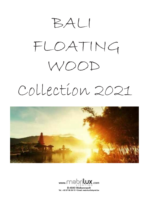

# Collection 2021





Tel.: +32 87 88 39 15 · Email: mabrilux@skynet.be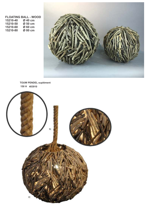**FLOATING BALL - WOOD 15210-40 Ø 40 cm 15210-50 Ø 50 cm 15210-60 Ø 60 cm 15210-80** 



**150 H 403910 TOUW PENDEL suplément**

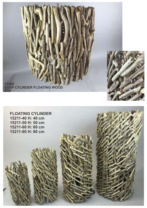**15209 SUSP CYLINDER FLOATING WOOD Ø50**

**FLOATING CYLINDER 15211-40 H: 40 cm 15211-50 H: 50 cm 15211-60 H: 60 cm 15211-80 H: 80 cm**



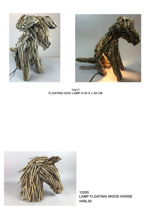



**15217 FLOATING DOG LAMP H:50 X L:58 CM**



**15295 LAMP FLOATING WOOD HORSE H48L50**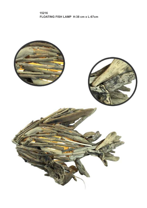**15216 FLOATING FISH LAMP H:38 cm x L:67cm**

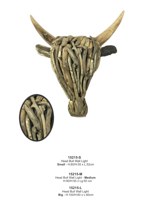

# **15215-S**

Head Bull Wall Light **Small** - H:80/H:55 x L:52cm

**15215-M** Head Bull Wall Light - **Medium**  H:90/H:50 x Lg:50 cm

**15215-L** Head Bull Wall Light **Big** - H:100/H:60 x L:60cm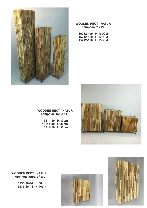

## **WOODEN RECT NATUR Lampadaire / VL**

| 15212-100 | <b>H:100CM</b> |
|-----------|----------------|
| 15212-120 | <b>H:120CM</b> |
| 15212-150 | <b>H:150CM</b> |



# **WOODEN RECT NATUR Lampe de Table / TL**

| 15214-30 | H:30cm |
|----------|--------|
| 15214-40 | H:40cm |
| 15214-50 | H:50cm |



**WOODEN RECT NATUR Applique murale / WL**

> **15235-30-44 H:30cm 15235-40-44 H:40cm**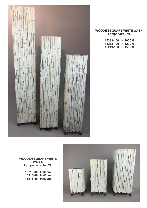

## **WOODEN SQUARE WHITE WASH-Lampadaire / VL**

| 15213-100 | <b>H:100CM</b> |
|-----------|----------------|
| 15213-120 | <b>H:120CM</b> |
| 15213-150 | <b>H:150CM</b> |

#### **WOODEN SQUARE WHITE WASH-Lampe de table / TL**

| 15213-30 | H:30cm |
|----------|--------|
| 15213-40 | H:40cm |
| 15213-50 | H:50cm |

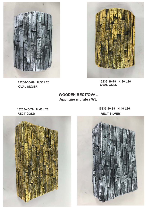

**15236-30-89 H:30 L26 OVAL SILVER**

**15236-30-79 H:30 L26 OVAL GOLD** 

**WOODEN RECT/OVAL Applique murale / WL**

**RECT GOLD RECT SILVER**

**15235-40-79 H:40 L26 15235-40-89 H:40 L26**